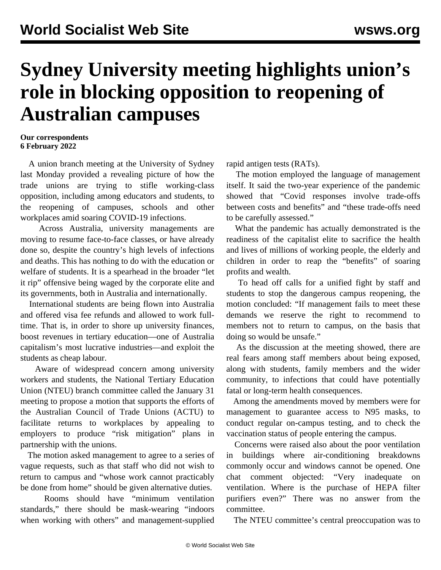## **Sydney University meeting highlights union's role in blocking opposition to reopening of Australian campuses**

## **Our correspondents 6 February 2022**

 A union branch meeting at the University of Sydney last Monday provided a revealing picture of how the trade unions are trying to stifle working-class opposition, including among educators and students, to the reopening of campuses, schools and other workplaces amid soaring COVID-19 infections.

 Across Australia, university managements are moving to resume face-to-face classes, or have already done so, despite the country's high levels of infections and deaths. This has nothing to do with the education or welfare of students. It is a spearhead in the broader "let it rip" offensive being waged by the corporate elite and its governments, both in Australia and internationally.

 International students are being flown into Australia and offered visa fee refunds and allowed to work fulltime. That is, in order to shore up university finances, boost revenues in tertiary education—one of Australia capitalism's most lucrative industries—and exploit the students as cheap labour.

 Aware of widespread concern among university workers and students, the National Tertiary Education Union (NTEU) branch committee called the January 31 meeting to propose a motion that supports the efforts of the Australian Council of Trade Unions (ACTU) to facilitate returns to workplaces by appealing to employers to produce "risk mitigation" plans in partnership with the unions.

 The motion asked management to agree to a series of vague requests, such as that staff who did not wish to return to campus and "whose work cannot practicably be done from home" should be given alternative duties.

 Rooms should have "minimum ventilation standards," there should be mask-wearing "indoors when working with others" and management-supplied rapid antigen tests (RATs).

 The motion employed the language of management itself. It said the two-year experience of the pandemic showed that "Covid responses involve trade-offs between costs and benefits" and "these trade-offs need to be carefully assessed."

 What the pandemic has actually demonstrated is the readiness of the capitalist elite to sacrifice the health and lives of millions of working people, the elderly and children in order to reap the "benefits" of soaring profits and wealth.

 To head off calls for a unified fight by staff and students to stop the dangerous campus reopening, the motion concluded: "If management fails to meet these demands we reserve the right to recommend to members not to return to campus, on the basis that doing so would be unsafe."

 As the discussion at the meeting showed, there are real fears among staff members about being exposed, along with students, family members and the wider community, to infections that could have potentially fatal or long-term health consequences.

 Among the amendments moved by members were for management to guarantee access to N95 masks, to conduct regular on-campus testing, and to check the vaccination status of people entering the campus.

 Concerns were raised also about the poor ventilation in buildings where air-conditioning breakdowns commonly occur and windows cannot be opened. One chat comment objected: "Very inadequate on ventilation. Where is the purchase of HEPA filter purifiers even?" There was no answer from the committee.

The NTEU committee's central preoccupation was to